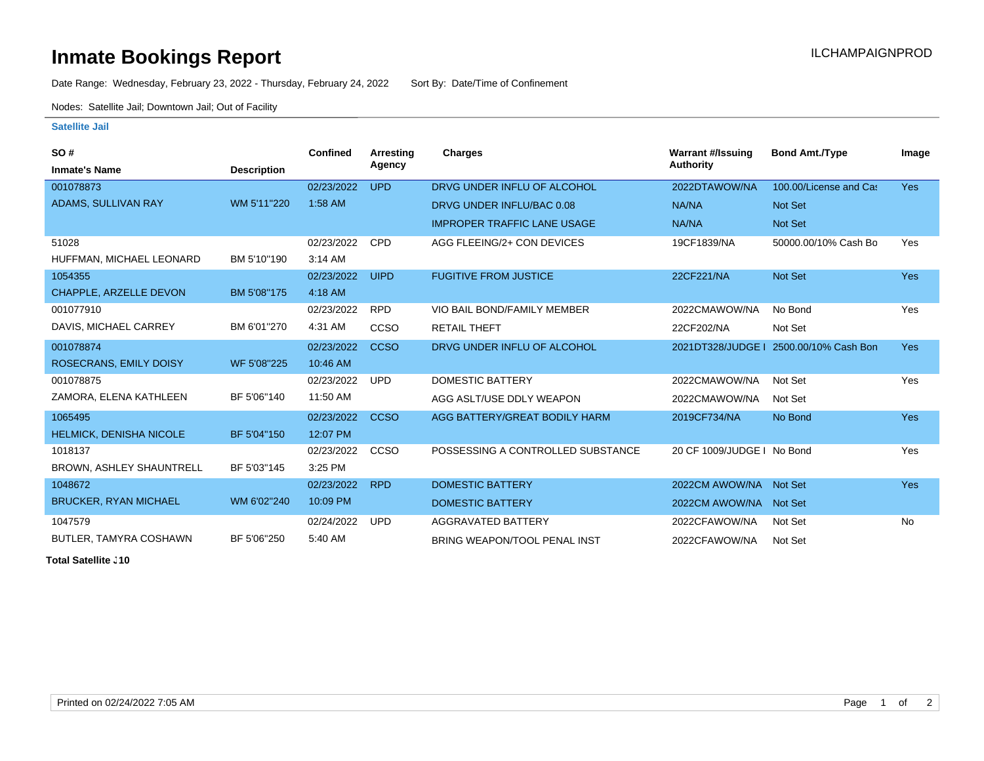# **Inmate Bookings Report Installation ILCHAMPAIGNPROD**

Date Range: Wednesday, February 23, 2022 - Thursday, February 24, 2022 Sort By: Date/Time of Confinement

Nodes: Satellite Jail; Downtown Jail; Out of Facility

#### **Satellite Jail**

| SO#                             |                    | <b>Confined</b> | <b>Arresting</b> | <b>Charges</b>                      | <b>Warrant #/Issuing</b>   | <b>Bond Amt./Type</b>  | Image      |
|---------------------------------|--------------------|-----------------|------------------|-------------------------------------|----------------------------|------------------------|------------|
| <b>Inmate's Name</b>            | <b>Description</b> |                 | Agency           |                                     | <b>Authority</b>           |                        |            |
| 001078873                       |                    | 02/23/2022      | <b>UPD</b>       | DRVG UNDER INFLU OF ALCOHOL         | 2022DTAWOW/NA              | 100.00/License and Cas | <b>Yes</b> |
| ADAMS, SULLIVAN RAY             | WM 5'11"220        | 1:58 AM         |                  | DRVG UNDER INFLU/BAC 0.08           | NA/NA                      | Not Set                |            |
|                                 |                    |                 |                  | <b>IMPROPER TRAFFIC LANE USAGE</b>  | NA/NA                      | <b>Not Set</b>         |            |
| 51028                           |                    | 02/23/2022      | <b>CPD</b>       | AGG FLEEING/2+ CON DEVICES          | 19CF1839/NA                | 50000.00/10% Cash Bo   | Yes        |
| HUFFMAN, MICHAEL LEONARD        | BM 5'10"190        | 3:14 AM         |                  |                                     |                            |                        |            |
| 1054355                         |                    | 02/23/2022      | <b>UIPD</b>      | <b>FUGITIVE FROM JUSTICE</b>        | 22CF221/NA                 | Not Set                | <b>Yes</b> |
| <b>CHAPPLE, ARZELLE DEVON</b>   | BM 5'08"175        | 4:18 AM         |                  |                                     |                            |                        |            |
| 001077910                       |                    | 02/23/2022      | <b>RPD</b>       | VIO BAIL BOND/FAMILY MEMBER         | 2022CMAWOW/NA              | No Bond                | Yes        |
| DAVIS, MICHAEL CARREY           | BM 6'01"270        | 4:31 AM         | CCSO             | <b>RETAIL THEFT</b>                 | 22CF202/NA                 | Not Set                |            |
| 001078874                       |                    | 02/23/2022      | <b>CCSO</b>      | DRVG UNDER INFLU OF ALCOHOL         | 2021DT328/JUDGE I          | 2500.00/10% Cash Bon   | <b>Yes</b> |
| ROSECRANS, EMILY DOISY          | WF 5'08"225        | 10:46 AM        |                  |                                     |                            |                        |            |
| 001078875                       |                    | 02/23/2022      | <b>UPD</b>       | <b>DOMESTIC BATTERY</b>             | 2022CMAWOW/NA              | Not Set                | Yes        |
| ZAMORA, ELENA KATHLEEN          | BF 5'06"140        | 11:50 AM        |                  | AGG ASLT/USE DDLY WEAPON            | 2022CMAWOW/NA              | Not Set                |            |
| 1065495                         |                    | 02/23/2022      | <b>CCSO</b>      | AGG BATTERY/GREAT BODILY HARM       | 2019CF734/NA               | No Bond                | Yes        |
| <b>HELMICK, DENISHA NICOLE</b>  | BF 5'04"150        | 12:07 PM        |                  |                                     |                            |                        |            |
| 1018137                         |                    | 02/23/2022      | <b>CCSO</b>      | POSSESSING A CONTROLLED SUBSTANCE   | 20 CF 1009/JUDGE   No Bond |                        | Yes        |
| <b>BROWN, ASHLEY SHAUNTRELL</b> | BF 5'03"145        | 3:25 PM         |                  |                                     |                            |                        |            |
| 1048672                         |                    | 02/23/2022      | <b>RPD</b>       | <b>DOMESTIC BATTERY</b>             | 2022CM AWOW/NA             | Not Set                | <b>Yes</b> |
| <b>BRUCKER, RYAN MICHAEL</b>    | WM 6'02"240        | 10:09 PM        |                  | <b>DOMESTIC BATTERY</b>             | 2022CM AWOW/NA Not Set     |                        |            |
| 1047579                         |                    | 02/24/2022      | <b>UPD</b>       | AGGRAVATED BATTERY                  | 2022CFAWOW/NA              | Not Set                | <b>No</b>  |
| BUTLER, TAMYRA COSHAWN          | BF 5'06"250        | 5:40 AM         |                  | <b>BRING WEAPON/TOOL PENAL INST</b> | 2022CFAWOW/NA              | Not Set                |            |

**Total Satellite J10**